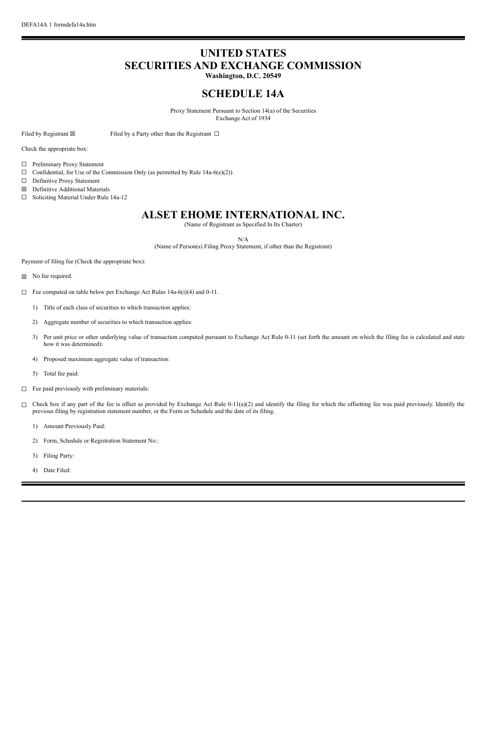# **UNITED STATES SECURITIES AND EXCHANGE COMMISSION**

**Washington, D.C. 20549**

## **SCHEDULE 14A**

Proxy Statement Pursuant to Section 14(a) of the Securities Exchange Act of 1934

Filed by Registrant  $\boxtimes$  Filed by a Party other than the Registrant  $\Box$ 

Check the appropriate box:

- ☐ Preliminary Proxy Statement
- $\Box$  Confidential, for Use of the Commission Only (as permitted by Rule 14a-6(e)(2))
- ☐ Definitive Proxy Statement
- ☒ Definitive Additional Materials
- ☐ Soliciting Material Under Rule 14a-12

## **ALSET EHOME INTERNATIONAL INC.**

(Name of Registrant as Specified In Its Charter)

N/A

(Name of Person(s) Filing Proxy Statement, if other than the Registrant)

Payment of filing fee (Check the appropriate box):

- ☒ No fee required.
- ☐ Fee computed on table below per Exchange Act Rules 14a-6(i)(4) and 0-11.
	- 1) Title of each class of securities to which transaction applies:
	- 2) Aggregate number of securities to which transaction applies:
	- 3) Per unit price or other underlying value of transaction computed pursuant to Exchange Act Rule 0-11 (set forth the amount on which the filing fee is calculated and state how it was determined):
	- 4) Proposed maximum aggregate value of transaction:
	- 5) Total fee paid:
- ☐ Fee paid previously with preliminary materials:
- $\Box$  Check box if any part of the fee is offset as provided by Exchange Act Rule 0-11(a)(2) and identify the filing for which the offsetting fee was paid previously. Identify the previous filing by registration statement number, or the Form or Schedule and the date of its filing.
	- 1) Amount Previously Paid:
	- 2) Form, Schedule or Registration Statement No.:
	- 3) Filing Party:
	- 4) Date Filed: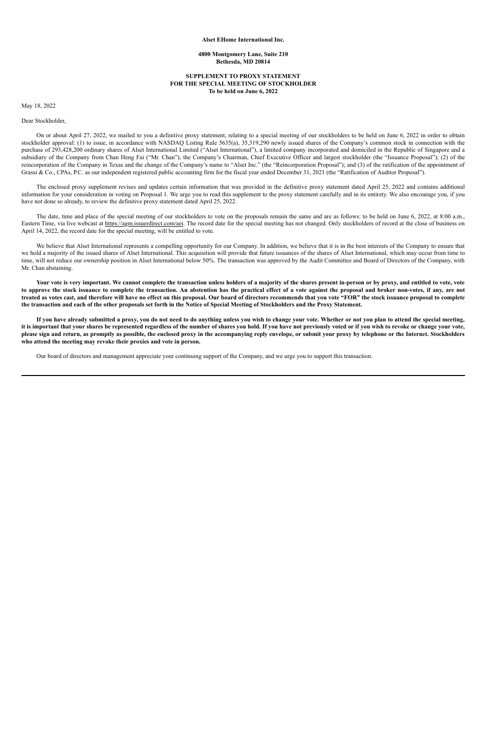#### **Alset EHome International Inc.**

**4800 Montgomery Lane, Suite 210 Bethesda, MD 20814**

On or about April 27, 2022, we mailed to you a definitive proxy statement, relating to a special meeting of our stockholders to be held on June 6, 2022 in order to obtain stockholder approval: (1) to issue, in accordance with NASDAQ Listing Rule 5635(a), 35,319,290 newly issued shares of the Company's common stock in connection with the purchase of 293,428,200 ordinary shares of Alset International Limited ("Alset International"), a limited company incorporated and domiciled in the Republic of Singapore and a subsidiary of the Company from Chan Heng Fai ("Mr. Chan"), the Company's Chairman, Chief Executive Officer and largest stockholder (the "Issuance Proposal"); (2) of the reincorporation of the Company in Texas and the change of the Company's name to "Alset Inc." (the "Reincorporation Proposal"); and (3) of the ratification of the appointment of Grassi & Co., CPAs, P.C. as our independent registered public accounting firm for the fiscal year ended December 31, 2021 (the "Ratification of Auditor Proposal").

## **SUPPLEMENT TO PROXY STATEMENT FOR THE SPECIAL MEETING OF STOCKHOLDER To be held on June 6, 2022**

May 18, 2022

#### Dear Stockholder,

The date, time and place of the special meeting of our stockholders to vote on the proposals remain the same and are as follows: to be held on June 6, 2022, at 8:00 a.m., Eastern Time, via live webcast at https://agm.issuerdirect.com/aei. The record date for the special meeting has not changed. Only stockholders of record at the close of business on April 14, 2022, the record date for the special meeting, will be entitled to vote.

We believe that Alset International represents a compelling opportunity for our Company. In addition, we believe that it is in the best interests of the Company to ensure that we hold a majority of the issued shares of Alset International. This acquisition will provide that future issuances of the shares of Alset International, which may occur from time to time, will not reduce our ownership position in Alset International below 50%. The transaction was approved by the Audit Committee and Board of Directors of the Company, with Mr. Chan abstaining.

Your vote is very important. We cannot complete the transaction unless holders of a majority of the shares present in-person or by proxy, and entitled to vote, vote to approve the stock issuance to complete the transaction. An abstention has the practical effect of a vote against the proposal and broker non-votes, if any, are not treated as votes cast, and therefore will have no effect on this proposal. Our board of directors recommends that you vote "FOR" the stock issuance proposal to complete the transaction and each of the other proposals set forth in the Notice of Special Meeting of Stockholders and the Proxy Statement.

The enclosed proxy supplement revises and updates certain information that was provided in the definitive proxy statement dated April 25, 2022 and contains additional information for your consideration in voting on Proposal 1. We urge you to read this supplement to the proxy statement carefully and in its entirety. We also encourage you, if you have not done so already, to review the definitive proxy statement dated April 25, 2022.

If you have already submitted a proxy, you do not need to do anything unless you wish to change your vote. Whether or not you plan to attend the special meeting, it is important that your shares be represented regardless of the number of shares you hold. If you have not previously voted or if you wish to revoke or change your vote, please sign and return, as promptly as possible, the enclosed proxy in the accompanying reply envelope, or submit your proxy by telephone or the Internet. Stockholders **who attend the meeting may revoke their proxies and vote in person.**

Our board of directors and management appreciate your continuing support of the Company, and we urge you to support this transaction.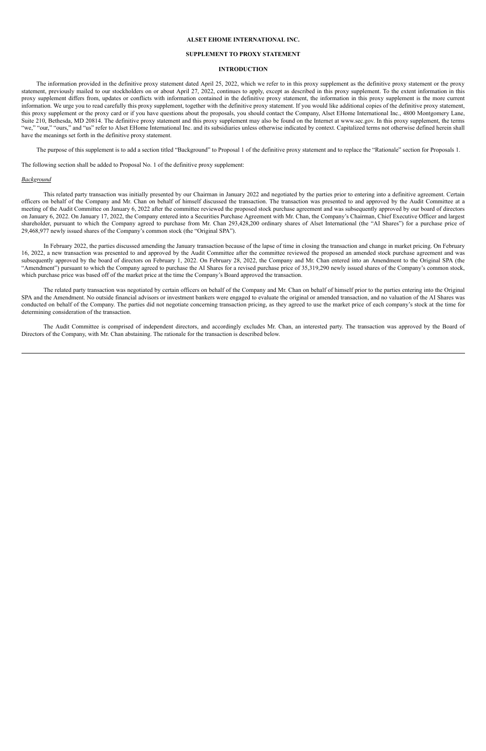#### **ALSET EHOME INTERNATIONAL INC.**

## **SUPPLEMENT TO PROXY STATEMENT**

### **INTRODUCTION**

The information provided in the definitive proxy statement dated April 25, 2022, which we refer to in this proxy supplement as the definitive proxy statement or the proxy statement, previously mailed to our stockholders on or about April 27, 2022, continues to apply, except as described in this proxy supplement. To the extent information in this proxy supplement differs from, updates or conflicts with information contained in the definitive proxy statement, the information in this proxy supplement is the more current information. We urge you to read carefully this proxy supplement, together with the definitive proxy statement. If you would like additional copies of the definitive proxy statement, this proxy supplement or the proxy card or if you have questions about the proposals, you should contact the Company, Alset EHome International Inc., 4800 Montgomery Lane, Suite 210, Bethesda, MD 20814. The definitive proxy statement and this proxy supplement may also be found on the Internet at www.sec.gov. In this proxy supplement, the terms "we," "our," "ours," and "us" refer to Alset EHome International Inc. and its subsidiaries unless otherwise indicated by context. Capitalized terms not otherwise defined herein shall have the meanings set forth in the definitive proxy statement.

The purpose of this supplement is to add a section titled "Background" to Proposal 1 of the definitive proxy statement and to replace the "Rationale" section for Proposals 1.

The following section shall be added to Proposal No. 1 of the definitive proxy supplement:

### *Background*

This related party transaction was initially presented by our Chairman in January 2022 and negotiated by the parties prior to entering into a definitive agreement. Certain officers on behalf of the Company and Mr. Chan on behalf of himself discussed the transaction. The transaction was presented to and approved by the Audit Committee at a meeting of the Audit Committee on January 6, 2022 after the committee reviewed the proposed stock purchase agreement and was subsequently approved by our board of directors on January 6, 2022. On January 17, 2022, the Company entered into a Securities Purchase Agreement with Mr. Chan, the Company's Chairman, Chief Executive Officer and largest shareholder, pursuant to which the Company agreed to purchase from Mr. Chan 293,428,200 ordinary shares of Alset International (the "AI Shares") for a purchase price of 29,468,977 newly issued shares of the Company's common stock (the "Original SPA").

In February 2022, the parties discussed amending the January transaction because of the lapse of time in closing the transaction and change in market pricing. On February 16, 2022, a new transaction was presented to and approved by the Audit Committee after the committee reviewed the proposed an amended stock purchase agreement and was subsequently approved by the board of directors on February 1, 2022. On February 28, 2022, the Company and Mr. Chan entered into an Amendment to the Original SPA (the "Amendment") pursuant to which the Company agreed to purchase the AI Shares for a revised purchase price of 35,319,290 newly issued shares of the Company's common stock, which purchase price was based off of the market price at the time the Company's Board approved the transaction.

The related party transaction was negotiated by certain officers on behalf of the Company and Mr. Chan on behalf of himself prior to the parties entering into the Original SPA and the Amendment. No outside financial advisors or investment bankers were engaged to evaluate the original or amended transaction, and no valuation of the AI Shares was conducted on behalf of the Company. The parties did not negotiate concerning transaction pricing, as they agreed to use the market price of each company's stock at the time for determining consideration of the transaction.

The Audit Committee is comprised of independent directors, and accordingly excludes Mr. Chan, an interested party. The transaction was approved by the Board of Directors of the Company, with Mr. Chan abstaining. The rationale for the transaction is described below.